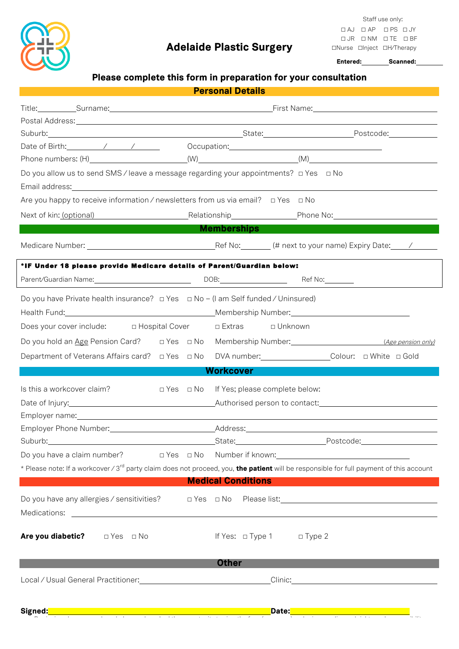

# Adelaide Plastic Surgery

 Staff use only:  **☐** AJ **☐** AP **☐** PS **☐** JY  **☐** JR **☐** NM **☐** TE **☐** BF **☐**Nurse **☐**Inject **☐**H/Therapy

| Please complete this form in preparation for your consultation<br><b>Personal Details</b><br><b>Example 19 Memberships Contract to Memberships</b><br><b>Workcover</b><br>□ Yes □ No If Yes; please complete below:<br><b>Medical Conditions</b><br>If Yes: □ Type 1 □ Type 2<br><b>Other</b>                                                                                                                                                                                                                                                                                                                                                                                                                                                                                                                         |  |  | Entered: Scanned: |  |
|-----------------------------------------------------------------------------------------------------------------------------------------------------------------------------------------------------------------------------------------------------------------------------------------------------------------------------------------------------------------------------------------------------------------------------------------------------------------------------------------------------------------------------------------------------------------------------------------------------------------------------------------------------------------------------------------------------------------------------------------------------------------------------------------------------------------------|--|--|-------------------|--|
|                                                                                                                                                                                                                                                                                                                                                                                                                                                                                                                                                                                                                                                                                                                                                                                                                       |  |  |                   |  |
|                                                                                                                                                                                                                                                                                                                                                                                                                                                                                                                                                                                                                                                                                                                                                                                                                       |  |  |                   |  |
| Do you allow us to send SMS / leave a message regarding your appointments? $\Box$ Yes $\Box$ No<br>Are you happy to receive information / newsletters from us via email?  □ Yes □ No<br>Next of kin: (optional) The Relationship Phone No: The Phone No:<br>Medicare Number: 1990 Medicare Number: 1990 Medicare Number: 1991 Medicare Number: 1991 Medicare Number: 1991                                                                                                                                                                                                                                                                                                                                                                                                                                             |  |  |                   |  |
|                                                                                                                                                                                                                                                                                                                                                                                                                                                                                                                                                                                                                                                                                                                                                                                                                       |  |  |                   |  |
|                                                                                                                                                                                                                                                                                                                                                                                                                                                                                                                                                                                                                                                                                                                                                                                                                       |  |  |                   |  |
|                                                                                                                                                                                                                                                                                                                                                                                                                                                                                                                                                                                                                                                                                                                                                                                                                       |  |  |                   |  |
|                                                                                                                                                                                                                                                                                                                                                                                                                                                                                                                                                                                                                                                                                                                                                                                                                       |  |  |                   |  |
|                                                                                                                                                                                                                                                                                                                                                                                                                                                                                                                                                                                                                                                                                                                                                                                                                       |  |  |                   |  |
|                                                                                                                                                                                                                                                                                                                                                                                                                                                                                                                                                                                                                                                                                                                                                                                                                       |  |  |                   |  |
|                                                                                                                                                                                                                                                                                                                                                                                                                                                                                                                                                                                                                                                                                                                                                                                                                       |  |  |                   |  |
|                                                                                                                                                                                                                                                                                                                                                                                                                                                                                                                                                                                                                                                                                                                                                                                                                       |  |  |                   |  |
|                                                                                                                                                                                                                                                                                                                                                                                                                                                                                                                                                                                                                                                                                                                                                                                                                       |  |  |                   |  |
| *IF Under 18 please provide Medicare details of Parent/Guardian below:<br>Parent/Guardian Name: 1990 1990 1991 1991 1991 1992 1994 1994 1994 1995 1994 1995 1994 1995 1996 1996 1997 19<br>Does your cover include: $\Box$ Hospital Cover $\Box$ Extras $\Box$ Unknown<br>Department of Veterans Affairs card? □ Yes □ No DVA number: __________________Colour: □ White □ Gold<br>Suburb: Contract Contract Contract Contract Contract Contract Contract Contract Contract Contract Contract Contract Contract Contract Contract Contract Contract Contract Contract Contract Contract Contract Contract Contrac<br>* Please note: If a workcover / 3 <sup>rd</sup> party claim does not proceed, you, the patient will be responsible for full payment of this account<br>Do you have any allergies / sensitivities? |  |  |                   |  |
|                                                                                                                                                                                                                                                                                                                                                                                                                                                                                                                                                                                                                                                                                                                                                                                                                       |  |  |                   |  |
| Do you have Private health insurance? $\Box$ Yes $\Box$ No - (I am Self funded / Uninsured)                                                                                                                                                                                                                                                                                                                                                                                                                                                                                                                                                                                                                                                                                                                           |  |  |                   |  |
| Is this a workcover claim?<br>Date of Injury:<br>Are you diabetic? $\square$ Yes $\square$ No                                                                                                                                                                                                                                                                                                                                                                                                                                                                                                                                                                                                                                                                                                                         |  |  |                   |  |
|                                                                                                                                                                                                                                                                                                                                                                                                                                                                                                                                                                                                                                                                                                                                                                                                                       |  |  |                   |  |
|                                                                                                                                                                                                                                                                                                                                                                                                                                                                                                                                                                                                                                                                                                                                                                                                                       |  |  |                   |  |
|                                                                                                                                                                                                                                                                                                                                                                                                                                                                                                                                                                                                                                                                                                                                                                                                                       |  |  |                   |  |
|                                                                                                                                                                                                                                                                                                                                                                                                                                                                                                                                                                                                                                                                                                                                                                                                                       |  |  |                   |  |
|                                                                                                                                                                                                                                                                                                                                                                                                                                                                                                                                                                                                                                                                                                                                                                                                                       |  |  |                   |  |
|                                                                                                                                                                                                                                                                                                                                                                                                                                                                                                                                                                                                                                                                                                                                                                                                                       |  |  |                   |  |
|                                                                                                                                                                                                                                                                                                                                                                                                                                                                                                                                                                                                                                                                                                                                                                                                                       |  |  |                   |  |
|                                                                                                                                                                                                                                                                                                                                                                                                                                                                                                                                                                                                                                                                                                                                                                                                                       |  |  |                   |  |
|                                                                                                                                                                                                                                                                                                                                                                                                                                                                                                                                                                                                                                                                                                                                                                                                                       |  |  |                   |  |
|                                                                                                                                                                                                                                                                                                                                                                                                                                                                                                                                                                                                                                                                                                                                                                                                                       |  |  |                   |  |
|                                                                                                                                                                                                                                                                                                                                                                                                                                                                                                                                                                                                                                                                                                                                                                                                                       |  |  |                   |  |
|                                                                                                                                                                                                                                                                                                                                                                                                                                                                                                                                                                                                                                                                                                                                                                                                                       |  |  |                   |  |
|                                                                                                                                                                                                                                                                                                                                                                                                                                                                                                                                                                                                                                                                                                                                                                                                                       |  |  |                   |  |
|                                                                                                                                                                                                                                                                                                                                                                                                                                                                                                                                                                                                                                                                                                                                                                                                                       |  |  |                   |  |
|                                                                                                                                                                                                                                                                                                                                                                                                                                                                                                                                                                                                                                                                                                                                                                                                                       |  |  |                   |  |
|                                                                                                                                                                                                                                                                                                                                                                                                                                                                                                                                                                                                                                                                                                                                                                                                                       |  |  |                   |  |
|                                                                                                                                                                                                                                                                                                                                                                                                                                                                                                                                                                                                                                                                                                                                                                                                                       |  |  |                   |  |
|                                                                                                                                                                                                                                                                                                                                                                                                                                                                                                                                                                                                                                                                                                                                                                                                                       |  |  |                   |  |

By signing above you acknowledge you have had the opportunity to view the fees (over page) and privacy policy and rights and responsibility

Signed: No. 2014 1999 - The Contract of Contract of Contract of Contract of Contract of Contract of Contract of Contract of Contract of Contract of Contract of Contract of Contract of Contract of Contract of Contract of Co